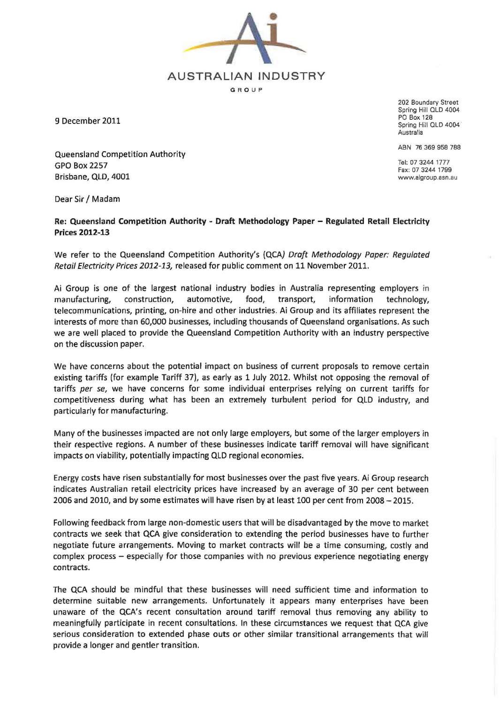AUSTRALIAN INDUSTRY G R O UP

9 December 2011

Queensland Competition Authority GPO Box 2257 Brisbane, QlD, 4001

202 Boundary Street Spring Hill OLD 4004 PO Box 128 Spring Hill OLD 4004 Australia

ABN 76 369 958 788

Tel: 07 3244 1777 Fax: 07 3244 1799 www.aigroup.asn.8u

Dear Sir / Madam

## Re: Queensland Competition Authority - Draft Methodology Paper - Regulated Retail Electricity Prices 2012-13

We refer to the Queensland Competition Authority's (QCA) Draft Methodology Paper: Regulated Retail Electricity Prices 2012-13, released for public comment on 11 November 2011.

Ai Group is one of the largest national industry bodies in Australia representing employers in manufacturing, construction, automotive, food, transport, information technology, telecommunications, printing, on-hire and other industries. Ai Group and its affiliates represent the interests of more than 60,000 businesses, including thousands of Queensland organisations. As such we are well placed to provide the Queensland Competition Authority with an industry perspective on the discussion paper.

We have concerns about the potential impact on business of current proposals to remove certain existing tariffs (for example Tariff 37), as early as 1 July 2012. Whilst not opposing the removal of tariffs per se, we have concerns for some individual enterprises relying on current tariffs for competitiveness during what has been an extremely turbulent period for QlD industry, and particularly for manufacturing.

Many of the businesses impacted are not only large employers, but some of the larger employers in their respective regions. A number of these businesses indicate tariff removal will have significant impacts on viability, potentially impacting QlD regional economies.

Energy costs have risen substantially for most businesses over the past five years. Ai Group research indicates Australian retail electricity prices have increased by an average of 30 per cent between 2006 and 2010, and by some estimates will have risen by at least 100 per cent from 2008 - 2015.

Following feedback from large non-domestic users that will be disadvantaged by the move to market contracts we seek that QCA give consideration to extending the period businesses have to further negotiate future arrangements. Moving to market contracts will be a time consuming, costly and complex process - especially for those companies with no previous experience negotiating energy contracts.

The QCA should be mindful that these businesses will need sufficient time and information to determine suitable new arrangements. Unfortunately it appears many enterprises have been unaware of the QCA's recent consultation around tariff removal thus removing any ability to meaningfully participate in recent consultations. In these circumstances we request that QCA give serious consideration to extended phase outs or other similar transitional arrangements that will provide a longer and gentler transition.